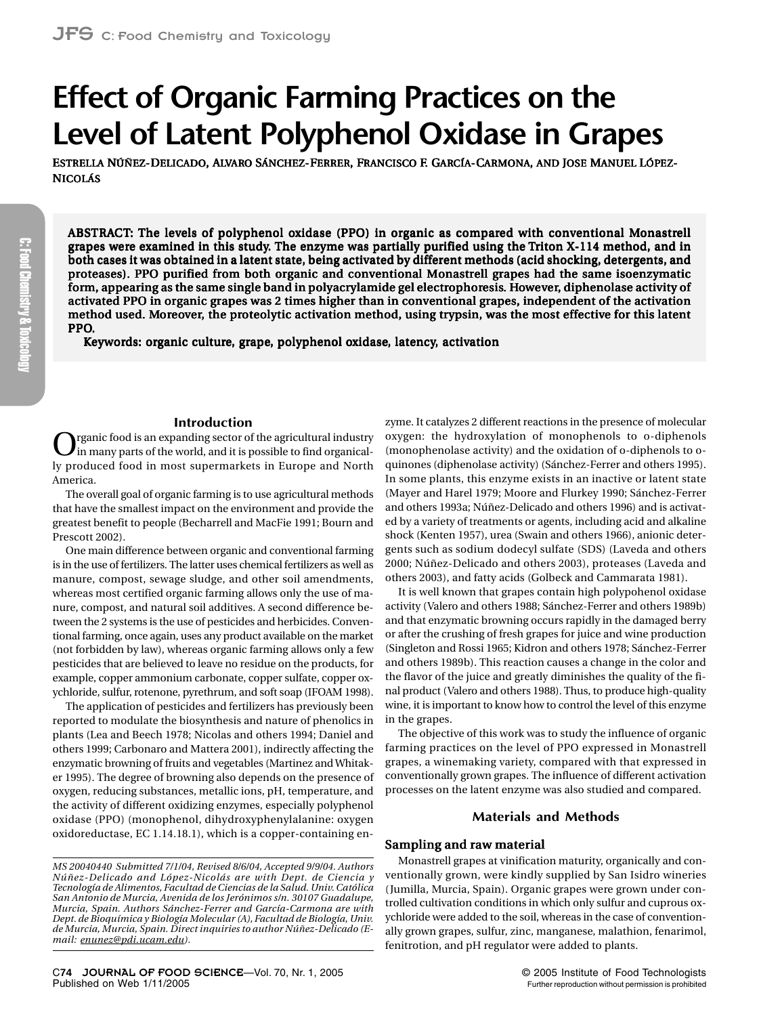# **Effect of Organic Farming Practices on the Level of Latent Polyphenol Oxidase in Grapes**

ESTRELLA NÚÑEZ-DELICADO, ALVARO SÁNCHEZ-FERRER, FRANCISCO F. GARCÍA-CARMONA, AND JOSE MANUEL LÓPEZ-NICOLÁS

ABSTRACT: The levels of polyphenol oxidase (PPO) in organic as compared with conventional Monastrell grapes were examined in this study. The enzyme was partially purified using the Triton X-114 method, and in both cases it was obtained in a latent state, being activated by different methods (acid shocking, detergents, and proteases). PPO purified from both organic and conventional Monastrell grapes had the same isoenzymatic form, appearing as the same single band in polyacrylamide gel electrophoresis. However, diphenolase activity of activated PPO in organic grapes was 2 times higher than in conventional grapes, independent of the activation method used. Moreover, the proteolytic activation method, using trypsin, was the most effective for this latent PPO.

Keywords: organic culture, grape, polyphenol oxidase, latency, activation

## **Introduction**

rganic food is an expanding sector of the agricultural industry in many parts of the world, and it is possible to find organically produced food in most supermarkets in Europe and North America.

The overall goal of organic farming is to use agricultural methods that have the smallest impact on the environment and provide the greatest benefit to people (Becharrell and MacFie 1991; Bourn and Prescott 2002).

One main difference between organic and conventional farming is in the use of fertilizers. The latter uses chemical fertilizers as well as manure, compost, sewage sludge, and other soil amendments, whereas most certified organic farming allows only the use of manure, compost, and natural soil additives. A second difference between the 2 systems is the use of pesticides and herbicides. Conventional farming, once again, uses any product available on the market (not forbidden by law), whereas organic farming allows only a few pesticides that are believed to leave no residue on the products, for example, copper ammonium carbonate, copper sulfate, copper oxychloride, sulfur, rotenone, pyrethrum, and soft soap (IFOAM 1998).

The application of pesticides and fertilizers has previously been reported to modulate the biosynthesis and nature of phenolics in plants (Lea and Beech 1978; Nicolas and others 1994; Daniel and others 1999; Carbonaro and Mattera 2001), indirectly affecting the enzymatic browning of fruits and vegetables (Martinez and Whitaker 1995). The degree of browning also depends on the presence of oxygen, reducing substances, metallic ions, pH, temperature, and the activity of different oxidizing enzymes, especially polyphenol oxidase (PPO) (monophenol, dihydroxyphenylalanine: oxygen oxidoreductase, EC 1.14.18.1), which is a copper-containing enzyme. It catalyzes 2 different reactions in the presence of molecular oxygen: the hydroxylation of monophenols to o-diphenols (monophenolase activity) and the oxidation of o-diphenols to oquinones (diphenolase activity) (Sánchez-Ferrer and others 1995). In some plants, this enzyme exists in an inactive or latent state (Mayer and Harel 1979; Moore and Flurkey 1990; Sánchez-Ferrer and others 1993a; Núñez-Delicado and others 1996) and is activated by a variety of treatments or agents, including acid and alkaline shock (Kenten 1957), urea (Swain and others 1966), anionic detergents such as sodium dodecyl sulfate (SDS) (Laveda and others 2000; Núñez-Delicado and others 2003), proteases (Laveda and others 2003), and fatty acids (Golbeck and Cammarata 1981).

It is well known that grapes contain high polypohenol oxidase activity (Valero and others 1988; Sánchez-Ferrer and others 1989b) and that enzymatic browning occurs rapidly in the damaged berry or after the crushing of fresh grapes for juice and wine production (Singleton and Rossi 1965; Kidron and others 1978; Sánchez-Ferrer and others 1989b). This reaction causes a change in the color and the flavor of the juice and greatly diminishes the quality of the final product (Valero and others 1988). Thus, to produce high-quality wine, it is important to know how to control the level of this enzyme in the grapes.

The objective of this work was to study the influence of organic farming practices on the level of PPO expressed in Monastrell grapes, a winemaking variety, compared with that expressed in conventionally grown grapes. The influence of different activation processes on the latent enzyme was also studied and compared.

## **Materials and Methods**

#### Sampling and raw material

Monastrell grapes at vinification maturity, organically and conventionally grown, were kindly supplied by San Isidro wineries (Jumilla, Murcia, Spain). Organic grapes were grown under controlled cultivation conditions in which only sulfur and cuprous oxychloride were added to the soil, whereas in the case of conventionally grown grapes, sulfur, zinc, manganese, malathion, fenarimol, fenitrotion, and pH regulator were added to plants.

*MS 20040440 Submitted 7/1/04, Revised 8/6/04, Accepted 9/9/04. Authors Núñez-Delicado and López-Nicolás are with Dept. de Ciencia y Tecnología de Alimentos, Facultad de Ciencias de la Salud. Univ. Católica San Antonio de Murcia, Avenida de los Jerónimos s/n. 30107 Guadalupe, Murcia, Spain. Authors Sánchez-Ferrer and García-Carmona are with Dept. de Bioquímica y Biología Molecular (A), Facultad de Biología, Univ. de Murcia, Murcia, Spain. Direct inquiries to author Núñez-Delicado (Email: [enunez@pdi.ucam.edu\)](mailto:enunez@pdi.ucam.edu).*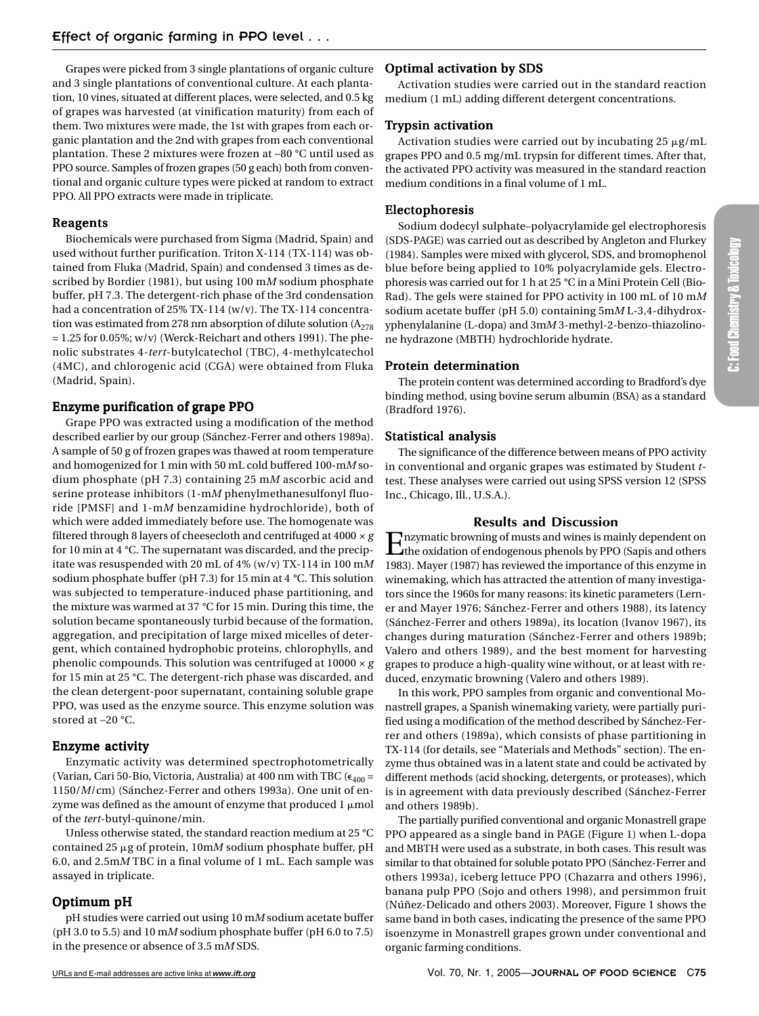Grapes were picked from 3 single plantations of organic culture and 3 single plantations of conventional culture. At each plantation, 10 vines, situated at different places, were selected, and 0.5 kg of grapes was harvested (at vinification maturity) from each of them. Two mixtures were made, the 1st with grapes from each organic plantation and the 2nd with grapes from each conventional plantation. These 2 mixtures were frozen at –80 °C until used as PPO source. Samples of frozen grapes (50 g each) both from conventional and organic culture types were picked at random to extract PPO. All PPO extracts were made in triplicate.

### Reagents

Biochemicals were purchased from Sigma (Madrid, Spain) and used without further purification. Triton X-114 (TX-114) was obtained from Fluka (Madrid, Spain) and condensed 3 times as described by Bordier (1981), but using 100 m*M* sodium phosphate buffer, pH 7.3. The detergent-rich phase of the 3rd condensation had a concentration of 25% TX-114 (w/v). The TX-114 concentration was estimated from 278 nm absorption of dilute solution  $(A_{278})$  $= 1.25$  for 0.05%; w/v) (Werck-Reichart and others 1991). The phenolic substrates 4-*tert*-butylcatechol (TBC), 4-methylcatechol (4MC), and chlorogenic acid (CGA) were obtained from Fluka (Madrid, Spain).

## Enzyme purification of grape PPO

Grape PPO was extracted using a modification of the method described earlier by our group (Sánchez-Ferrer and others 1989a). A sample of 50 g of frozen grapes was thawed at room temperature and homogenized for 1 min with 50 mL cold buffered 100-m*M* sodium phosphate (pH 7.3) containing 25 m*M* ascorbic acid and serine protease inhibitors (1-m*M* phenylmethanesulfonyl fluoride [PMSF] and 1-m*M* benzamidine hydrochloride), both of which were added immediately before use. The homogenate was filtered through 8 layers of cheesecloth and centrifuged at 4000 × *g* for 10 min at 4 °C. The supernatant was discarded, and the precipitate was resuspended with 20 mL of 4% (w/v) TX-114 in 100 m*M* sodium phosphate buffer (pH 7.3) for 15 min at 4 °C. This solution was subjected to temperature-induced phase partitioning, and the mixture was warmed at 37 °C for 15 min. During this time, the solution became spontaneously turbid because of the formation, aggregation, and precipitation of large mixed micelles of detergent, which contained hydrophobic proteins, chlorophylls, and phenolic compounds. This solution was centrifuged at 10000 × *g* for 15 min at 25 °C. The detergent-rich phase was discarded, and the clean detergent-poor supernatant, containing soluble grape PPO, was used as the enzyme source. This enzyme solution was stored at –20 °C.

## Enzyme activity

Enzymatic activity was determined spectrophotometrically (Varian, Cari 50-Bio, Victoria, Australia) at 400 nm with TBC ( $\epsilon_{400}$  = 1150/*M*/cm) (Sánchez-Ferrer and others 1993a). One unit of enzyme was defined as the amount of enzyme that produced  $1\,\mu\mathrm{mol}$ of the *tert*-butyl-quinone/min.

Unless otherwise stated, the standard reaction medium at 25 °C contained 25 µg of protein, 10mM sodium phosphate buffer, pH 6.0, and 2.5m*M* TBC in a final volume of 1 mL. Each sample was assayed in triplicate.

## Optimum pH

pH studies were carried out using 10 m*M* sodium acetate buffer (pH 3.0 to 5.5) and 10 m*M* sodium phosphate buffer (pH 6.0 to 7.5) in the presence or absence of 3.5 m*M* SDS.

## Optimal activation by SDS

Activation studies were carried out in the standard reaction medium (1 mL) adding different detergent concentrations.

# Trypsin activation

Activation studies were carried out by incubating 25  $\mu$ g/mL grapes PPO and 0.5 mg/mL trypsin for different times. After that, the activated PPO activity was measured in the standard reaction medium conditions in a final volume of 1 mL.

## Electophoresis

Sodium dodecyl sulphate–polyacrylamide gel electrophoresis (SDS-PAGE) was carried out as described by Angleton and Flurkey (1984). Samples were mixed with glycerol, SDS, and bromophenol blue before being applied to 10% polyacrylamide gels. Electrophoresis was carried out for 1 h at 25 °C in a Mini Protein Cell (Bio-Rad). The gels were stained for PPO activity in 100 mL of 10 m*M* sodium acetate buffer (pH 5.0) containing 5m*M* L-3,4-dihydroxyphenylalanine (L-dopa) and 3m*M* 3-methyl-2-benzo-thiazolinone hydrazone (MBTH) hydrochloride hydrate.

## Protein determination

The protein content was determined according to Bradford's dye binding method, using bovine serum albumin (BSA) as a standard (Bradford 1976).

## Statistical analysis

The significance of the difference between means of PPO activity in conventional and organic grapes was estimated by Student *t*test. These analyses were carried out using SPSS version 12 (SPSS Inc., Chicago, Ill., U.S.A.).

## **Results and Discussion**

Enzymatic browning of musts and wines is mainly dependent on the oxidation of endogenous phenols by PPO (Sapis and others 1983). Mayer (1987) has reviewed the importance of this enzyme in winemaking, which has attracted the attention of many investigators since the 1960s for many reasons: its kinetic parameters (Lerner and Mayer 1976; Sánchez-Ferrer and others 1988), its latency (Sánchez-Ferrer and others 1989a), its location (Ivanov 1967), its changes during maturation (Sánchez-Ferrer and others 1989b; Valero and others 1989), and the best moment for harvesting grapes to produce a high-quality wine without, or at least with reduced, enzymatic browning (Valero and others 1989).

In this work, PPO samples from organic and conventional Monastrell grapes, a Spanish winemaking variety, were partially purified using a modification of the method described by Sánchez-Ferrer and others (1989a), which consists of phase partitioning in TX-114 (for details, see "Materials and Methods" section). The enzyme thus obtained was in a latent state and could be activated by different methods (acid shocking, detergents, or proteases), which is in agreement with data previously described (Sánchez-Ferrer and others 1989b).

The partially purified conventional and organic Monastrell grape PPO appeared as a single band in PAGE (Figure 1) when L-dopa and MBTH were used as a substrate, in both cases. This result was similar to that obtained for soluble potato PPO (Sánchez-Ferrer and others 1993a), iceberg lettuce PPO (Chazarra and others 1996), banana pulp PPO (Sojo and others 1998), and persimmon fruit (Núñez-Delicado and others 2003). Moreover, Figure 1 shows the same band in both cases, indicating the presence of the same PPO isoenzyme in Monastrell grapes grown under conventional and organic farming conditions.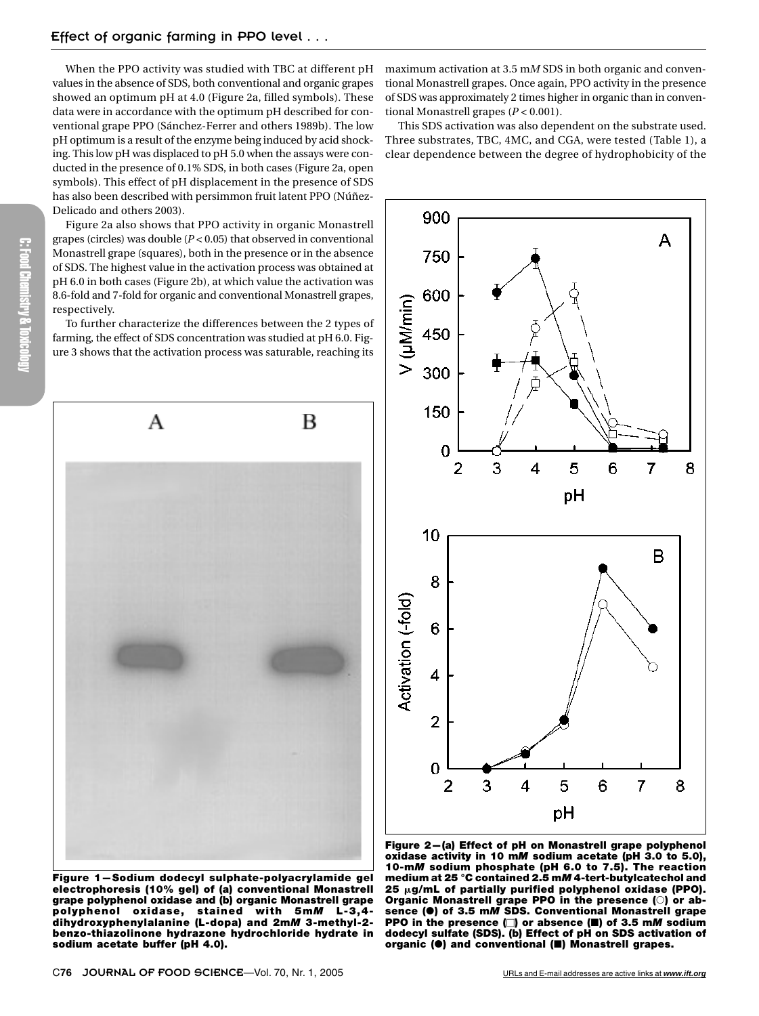When the PPO activity was studied with TBC at different pH values in the absence of SDS, both conventional and organic grapes showed an optimum pH at 4.0 (Figure 2a, filled symbols). These data were in accordance with the optimum pH described for conventional grape PPO (Sánchez-Ferrer and others 1989b). The low pH optimum is a result of the enzyme being induced by acid shocking. This low pH was displaced to pH 5.0 when the assays were conducted in the presence of 0.1% SDS, in both cases (Figure 2a, open symbols). This effect of pH displacement in the presence of SDS has also been described with persimmon fruit latent PPO (Núñez-Delicado and others 2003).

Figure 2a also shows that PPO activity in organic Monastrell grapes (circles) was double (*P* < 0.05) that observed in conventional Monastrell grape (squares), both in the presence or in the absence of SDS. The highest value in the activation process was obtained at pH 6.0 in both cases (Figure 2b), at which value the activation was 8.6-fold and 7-fold for organic and conventional Monastrell grapes, respectively.

To further characterize the differences between the 2 types of farming, the effect of SDS concentration was studied at pH 6.0. Figure 3 shows that the activation process was saturable, reaching its



maximum activation at 3.5 m*M* SDS in both organic and conventional Monastrell grapes. Once again, PPO activity in the presence of SDS was approximately 2 times higher in organic than in conventional Monastrell grapes (*P* < 0.001).

This SDS activation was also dependent on the substrate used. Three substrates, TBC, 4MC, and CGA, were tested (Table 1), a clear dependence between the degree of hydrophobicity of the



**Figure 1—Sodium dodecyl sulphate-polyacrylamide gel electrophoresis (10% gel) of (a) conventional Monastrell grape polyphenol oxidase and (b) organic Monastrell grape polyphenol oxidase, stained with 5m***M* **L-3,4 dihydroxyphenylalanine (L-dopa) and 2m***M* **3-methyl-2 benzo-thiazolinone hydrazone hydrochloride hydrate in sodium acetate buffer (pH 4.0).**

**Figure 2—(a) Effect of pH on Monastrell grape polyphenol oxidase activity in 10 m***M* **sodium acetate (pH 3.0 to 5.0), 10-m***M* **sodium phosphate (pH 6.0 to 7.5). The reaction medium at 25 °C contained 2.5 m***M* **4-tert-butylcatechol and 25 g/mL of partially purified polyphenol oxidase (PPO). Organic Monastrell grape PPO in the presence () or absence (**-**) of 3.5 m***M* **SDS. Conventional Monastrell grape PPO in the presence () or absence () of 3.5 m***M* **sodium dodecyl sulfate (SDS). (b) Effect of pH on SDS activation of organic (**-**) and conventional () Monastrell grapes.**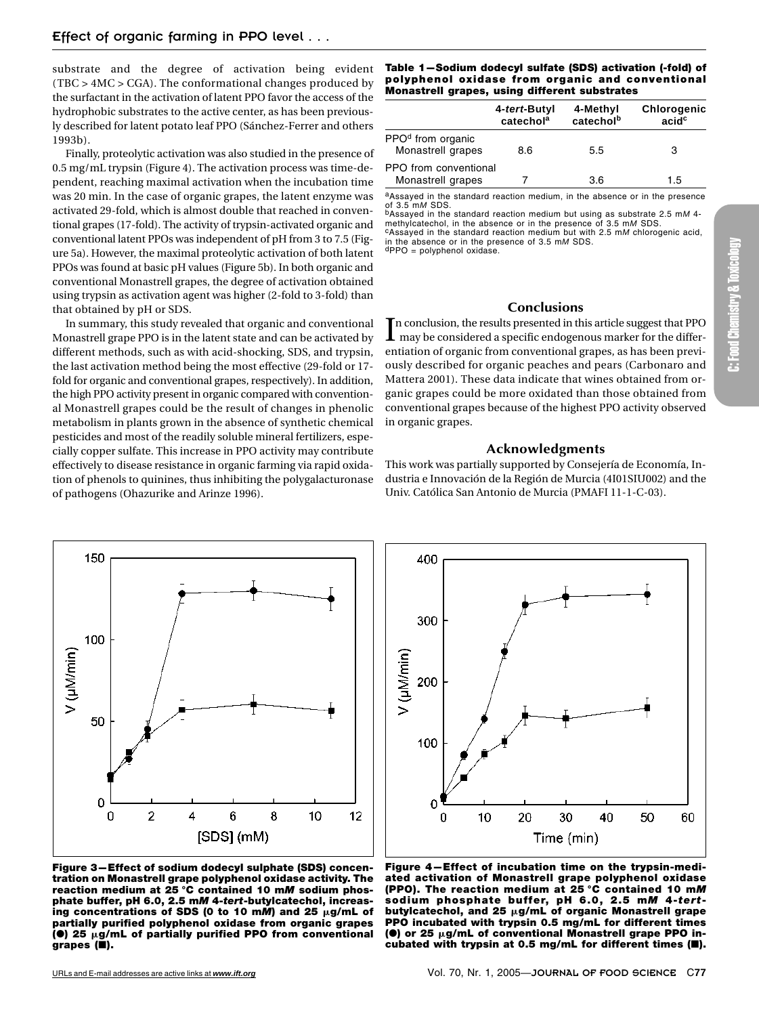substrate and the degree of activation being evident (TBC > 4MC > CGA). The conformational changes produced by the surfactant in the activation of latent PPO favor the access of the hydrophobic substrates to the active center, as has been previously described for latent potato leaf PPO (Sánchez-Ferrer and others 1993b).

Finally, proteolytic activation was also studied in the presence of 0.5 mg/mL trypsin (Figure 4). The activation process was time-dependent, reaching maximal activation when the incubation time was 20 min. In the case of organic grapes, the latent enzyme was activated 29-fold, which is almost double that reached in conventional grapes (17-fold). The activity of trypsin-activated organic and conventional latent PPOs was independent of pH from 3 to 7.5 (Figure 5a). However, the maximal proteolytic activation of both latent PPOs was found at basic pH values (Figure 5b). In both organic and conventional Monastrell grapes, the degree of activation obtained using trypsin as activation agent was higher (2-fold to 3-fold) than that obtained by pH or SDS.

In summary, this study revealed that organic and conventional Monastrell grape PPO is in the latent state and can be activated by different methods, such as with acid-shocking, SDS, and trypsin, the last activation method being the most effective (29-fold or 17 fold for organic and conventional grapes, respectively). In addition, the high PPO activity present in organic compared with conventional Monastrell grapes could be the result of changes in phenolic metabolism in plants grown in the absence of synthetic chemical pesticides and most of the readily soluble mineral fertilizers, especially copper sulfate. This increase in PPO activity may contribute effectively to disease resistance in organic farming via rapid oxidation of phenols to quinines, thus inhibiting the polygalacturonase of pathogens (Ohazurike and Arinze 1996).



#### **Table 1—Sodium dodecyl sulfate (SDS) activation (-fold) of polyphenol oxidase from organic and conventional Monastrell grapes, using different substrates**

|                                                    | 4-tert-Butyl<br>catechol <sup>a</sup> | 4-Methyl<br>catecholb | Chlorogenic<br>acid <sup>c</sup> |
|----------------------------------------------------|---------------------------------------|-----------------------|----------------------------------|
| PPO <sup>d</sup> from organic<br>Monastrell grapes | 8.6                                   | 5.5                   | 3                                |
| PPO from conventional<br>Monastrell grapes         |                                       | 3.6                   | 1.5                              |

aAssayed in the standard reaction medium, in the absence or in the presence

of 3.5 m*M* SDS.<br><sup>b</sup>Assayed in the standard reaction medium but using as substrate 2.5 m*M* 4-<br>methylcatechol, in the absence or in the presence of 3.5 m*M* SDS. cAssayed in the standard reaction medium but with 2.5 mM chlorogenic acid, in the absence or in the presence of 3.5 m*M* SDS.<br>dPPO = polyphenol oxidase.

#### **Conclusions**

In conclusion, the results presented in this article suggest that PPO may be considered a specific endogenous marker for the differential  $\mathsf{L}\,$  may be considered a specific endogenous marker for the differentiation of organic from conventional grapes, as has been previously described for organic peaches and pears (Carbonaro and Mattera 2001). These data indicate that wines obtained from organic grapes could be more oxidated than those obtained from conventional grapes because of the highest PPO activity observed in organic grapes.

#### **Acknowledgments**

This work was partially supported by Consejería de Economía, Industria e Innovación de la Región de Murcia (4I01SIU002) and the Univ. Católica San Antonio de Murcia (PMAFI 11-1-C-03).



**Figure 3—Effect of sodium dodecyl sulphate (SDS) concentration on Monastrell grape polyphenol oxidase activity. The reaction medium at 25 °C contained 10 m***M* **sodium phosphate buffer, pH 6.0, 2.5 m***M* **4-***tert***-butylcatechol, increas**ing concentrations of SDS (0 to 10 mM) and 25  $\mu$ g/mL of **partially purified polyphenol oxidase from organic grapes (0)** 25  $\mu$ g/mL of partially purified PPO from conventional **grapes ().**

**Figure 4—Effect of incubation time on the trypsin-mediated activation of Monastrell grape polyphenol oxidase (PPO). The reaction medium at 25 °C contained 10 m***M* **sod ium phosphate buffer, pH 6 .0 , 2 .5 m***M* **4-***tert***butylcatechol, and 25 g/mL of organic Monastrell grape PPO incubated with trypsin 0.5 mg/mL for different times (@)** or 25 µg/mL of conventional Monastrell grape PPO in**cubated with trypsin at 0.5 mg/mL for different times ().**